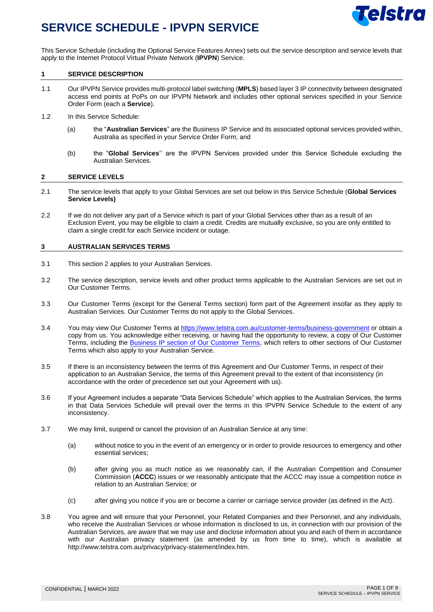

This Service Schedule (including the Optional Service Features Annex) sets out the service description and service levels that apply to the Internet Protocol Virtual Private Network (**IPVPN**) Service.

#### **1 SERVICE DESCRIPTION**

- 1.1 Our IPVPN Service provides multi-protocol label switching (**MPLS**) based layer 3 IP connectivity between designated access end points at PoPs on our IPVPN Network and includes other optional services specified in your Service Order Form (each a **Service**).
- 1.2 In this Service Schedule:
	- (a) the "**Australian Services**" are the Business IP Service and its associated optional services provided within, Australia as specified in your Service Order Form; and
	- (b) the "**Global Services**'' are the IPVPN Services provided under this Service Schedule excluding the Australian Services.

#### **2 SERVICE LEVELS**

- 2.1 The service levels that apply to your Global Services are set out below in this Service Schedule (**Global Services Service Levels)**
- 2.2 If we do not deliver any part of a Service which is part of your Global Services other than as a result of an Exclusion Event, you may be eligible to claim a credit. Credits are mutually exclusive, so you are only entitled to claim a single credit for each Service incident or outage.

#### **3 AUSTRALIAN SERVICES TERMS**

- 3.1 This section 2 applies to your Australian Services.
- 3.2 The service description, service levels and other product terms applicable to the Australian Services are set out in Our Customer Terms.
- 3.3 Our Customer Terms (except for the General Terms section) form part of the Agreement insofar as they apply to Australian Services. Our Customer Terms do not apply to the Global Services.
- 3.4 You may view Our Customer Terms at<https://www.telstra.com.au/customer-terms/business-government> or obtain a copy from us. You acknowledge either receiving, or having had the opportunity to review, a copy of Our Customer Terms, including the [Business IP section of Our Customer Terms,](https://www.telstra.com.au/customer-terms/business-government#data-services) which refers to other sections of Our Customer Terms which also apply to your Australian Service.
- 3.5 If there is an inconsistency between the terms of this Agreement and Our Customer Terms, in respect of their application to an Australian Service, the terms of this Agreement prevail to the extent of that inconsistency (in accordance with the order of precedence set out your Agreement with us).
- 3.6 If your Agreement includes a separate "Data Services Schedule" which applies to the Australian Services, the terms in that Data Services Schedule will prevail over the terms in this IPVPN Service Schedule to the extent of any inconsistency.
- 3.7 We may limit, suspend or cancel the provision of an Australian Service at any time:
	- (a) without notice to you in the event of an emergency or in order to provide resources to emergency and other essential services;
	- (b) after giving you as much notice as we reasonably can, if the Australian Competition and Consumer Commission (**ACCC**) issues or we reasonably anticipate that the ACCC may issue a competition notice in relation to an Australian Service; or
	- (c) after giving you notice if you are or become a carrier or carriage service provider (as defined in the Act).
- 3.8 You agree and will ensure that your Personnel, your Related Companies and their Personnel, and any individuals, who receive the Australian Services or whose information is disclosed to us, in connection with our provision of the Australian Services, are aware that we may use and disclose information about you and each of them in accordance with our Australian privacy statement (as amended by us from time to time), which is available at http://www.telstra.com.au/privacy/privacy-statement/index.htm.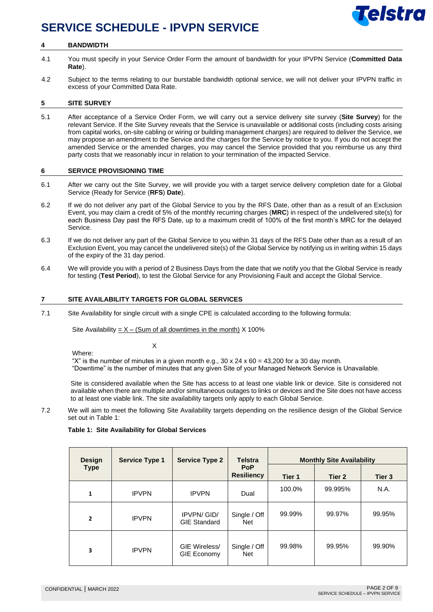# **Telstra**

### **SERVICE SCHEDULE - IPVPN SERVICE**

#### **4 BANDWIDTH**

- 4.1 You must specify in your Service Order Form the amount of bandwidth for your IPVPN Service (**Committed Data Rate**).
- 4.2 Subject to the terms relating to our burstable bandwidth optional service, we will not deliver your IPVPN traffic in excess of your Committed Data Rate.

#### **5 SITE SURVEY**

5.1 After acceptance of a Service Order Form, we will carry out a service delivery site survey (**Site Survey**) for the relevant Service. If the Site Survey reveals that the Service is unavailable or additional costs (including costs arising from capital works, on-site cabling or wiring or building management charges) are required to deliver the Service, we may propose an amendment to the Service and the charges for the Service by notice to you. If you do not accept the amended Service or the amended charges, you may cancel the Service provided that you reimburse us any third party costs that we reasonably incur in relation to your termination of the impacted Service.

#### **6 SERVICE PROVISIONING TIME**

- 6.1 After we carry out the Site Survey, we will provide you with a target service delivery completion date for a Global Service (Ready for Service (**RFS**) **Date**).
- 6.2 If we do not deliver any part of the Global Service to you by the RFS Date, other than as a result of an Exclusion Event, you may claim a credit of 5% of the monthly recurring charges (**MRC**) in respect of the undelivered site(s) for each Business Day past the RFS Date, up to a maximum credit of 100% of the first month's MRC for the delayed Service.
- 6.3 If we do not deliver any part of the Global Service to you within 31 days of the RFS Date other than as a result of an Exclusion Event, you may cancel the undelivered site(s) of the Global Service by notifying us in writing within 15 days of the expiry of the 31 day period.
- 6.4 We will provide you with a period of 2 Business Days from the date that we notify you that the Global Service is ready for testing (**Test Period**), to test the Global Service for any Provisioning Fault and accept the Global Service.

#### **7 SITE AVAILABILITY TARGETS FOR GLOBAL SERVICES**

7.1 Site Availability for single circuit with a single CPE is calculated according to the following formula:

Site Availability =  $X -$  (Sum of all downtimes in the month) X 100%

**X** and the state of  $X$ 

Where:

"X" is the number of minutes in a given month e.g.,  $30 \times 24 \times 60 = 43,200$  for a 30 day month. "Downtime" is the number of minutes that any given Site of your Managed Network Service is Unavailable.

Site is considered available when the Site has access to at least one viable link or device. Site is considered not available when there are multiple and/or simultaneous outages to links or devices and the Site does not have access to at least one viable link. The site availability targets only apply to each Global Service.

7.2 We will aim to meet the following Site Availability targets depending on the resilience design of the Global Service set out in Table 1:

#### **Table 1: Site Availability for Global Services**

| <b>Design</b>  | <b>Service Type 1</b> | <b>Service Type 2</b>                    | <b>Telstra</b>                  | <b>Monthly Site Availability</b> |         |                   |
|----------------|-----------------------|------------------------------------------|---------------------------------|----------------------------------|---------|-------------------|
| <b>Type</b>    |                       |                                          | <b>PoP</b><br><b>Resiliency</b> | Tier 1                           | Tier 2  | Tier <sub>3</sub> |
| $\mathbf{1}$   | <b>IPVPN</b>          | <b>IPVPN</b>                             | Dual                            | 100.0%                           | 99.995% | N.A.              |
| $\overline{2}$ | <b>IPVPN</b>          | <b>IPVPN/GID/</b><br><b>GIE Standard</b> | Single / Off<br><b>Net</b>      | 99.99%                           | 99.97%  | 99.95%            |
| 3              | <b>IPVPN</b>          | GIE Wireless/<br>GIE Economy             | Single / Off<br><b>Net</b>      | 99.98%                           | 99.95%  | 99.90%            |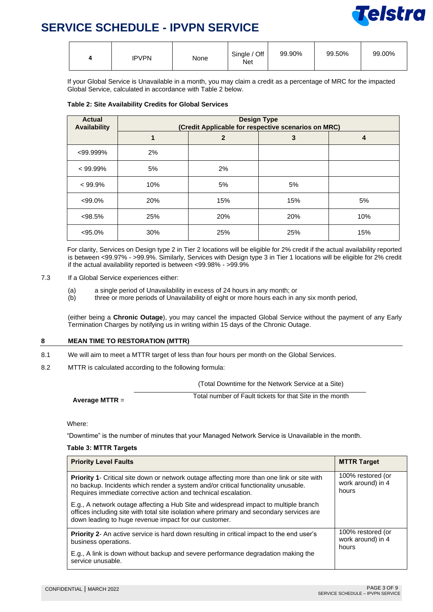

| <b>IPVPN</b><br>None<br>4 | 99.90%<br>Single / Off<br>Net | 99.50% | 99.00% |
|---------------------------|-------------------------------|--------|--------|
|---------------------------|-------------------------------|--------|--------|

If your Global Service is Unavailable in a month, you may claim a credit as a percentage of MRC for the impacted Global Service, calculated in accordance with Table 2 below.

| <b>Actual</b><br><b>Availability</b> | <b>Design Type</b><br>(Credit Applicable for respective scenarios on MRC) |                |     |     |
|--------------------------------------|---------------------------------------------------------------------------|----------------|-----|-----|
|                                      |                                                                           | $\overline{2}$ | 3   | 4   |
| $<$ 99.999%                          | 2%                                                                        |                |     |     |
| $< 99.99\%$                          | 5%                                                                        | 2%             |     |     |
| $< 99.9\%$                           | 10%                                                                       | 5%             | 5%  |     |
| $<99.0\%$                            | 20%                                                                       | 15%            | 15% | 5%  |
| $< 98.5\%$                           | 25%                                                                       | 20%            | 20% | 10% |
| $< 95.0\%$                           | 30%                                                                       | 25%            | 25% | 15% |

 For clarity, Services on Design type 2 in Tier 2 locations will be eligible for 2% credit if the actual availability reported is between <99.97% - >99.9%. Similarly, Services with Design type 3 in Tier 1 locations will be eligible for 2% credit if the actual availability reported is between <99.98% - >99.9%

- 7.3 If a Global Service experiences either:
	- (a) a single period of Unavailability in excess of 24 hours in any month; or
	- (b) three or more periods of Unavailability of eight or more hours each in any six month period,

(either being a **Chronic Outage**), you may cancel the impacted Global Service without the payment of any Early Termination Charges by notifying us in writing within 15 days of the Chronic Outage.

#### **8 MEAN TIME TO RESTORATION (MTTR)**

- 8.1 We will aim to meet a MTTR target of less than four hours per month on the Global Services.
- 8.2 MTTR is calculated according to the following formula:

(Total Downtime for the Network Service at a Site)

| Average MTTR $=$ | Total number of Fault tickets for that Site in the month |
|------------------|----------------------------------------------------------|

Where:

"Downtime" is the number of minutes that your Managed Network Service is Unavailable in the month.

#### **Table 3: MTTR Targets**

| <b>Priority Level Faults</b>                                                                                                                                                                                                                              | <b>MTTR Target</b>                              |
|-----------------------------------------------------------------------------------------------------------------------------------------------------------------------------------------------------------------------------------------------------------|-------------------------------------------------|
| <b>Priority 1-</b> Critical site down or network outage affecting more than one link or site with<br>no backup. Incidents which render a system and/or critical functionality unusable.<br>Requires immediate corrective action and technical escalation. | 100% restored (or<br>work around) in 4<br>hours |
| E.g., A network outage affecting a Hub Site and widespread impact to multiple branch<br>offices including site with total site isolation where primary and secondary services are<br>down leading to huge revenue impact for our customer.                |                                                 |
| <b>Priority 2-</b> An active service is hard down resulting in critical impact to the end user's<br>business operations.                                                                                                                                  | 100% restored (or<br>work around) in 4<br>hours |
| E.g., A link is down without backup and severe performance degradation making the<br>service unusable.                                                                                                                                                    |                                                 |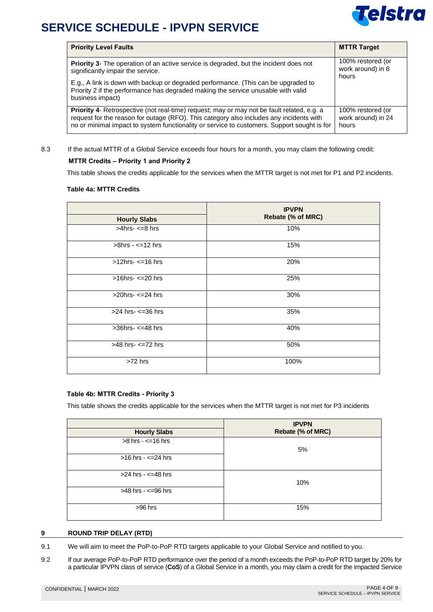

| <b>Priority Level Faults</b>                                                                                                                                                                                                                                                         | <b>MTTR Target</b>                               |
|--------------------------------------------------------------------------------------------------------------------------------------------------------------------------------------------------------------------------------------------------------------------------------------|--------------------------------------------------|
| <b>Priority 3-</b> The operation of an active service is degraded, but the incident does not<br>significantly impair the service.                                                                                                                                                    | 100% restored (or<br>work around) in 8<br>hours  |
| E.g., A link is down with backup or degraded performance. (This can be upgraded to<br>Priority 2 if the performance has degraded making the service unusable with valid<br>business impact)                                                                                          |                                                  |
| Priority 4- Retrospective (not real-time) request; may or may not be fault related, e.g. a<br>request for the reason for outage (RFO). This category also includes any incidents with<br>no or minimal impact to system functionality or service to customers. Support sought is for | 100% restored (or<br>work around) in 24<br>hours |

#### 8.3 If the actual MTTR of a Global Service exceeds four hours for a month, you may claim the following credit:

#### **MTTR Credits – Priority 1 and Priority 2**

This table shows the credits applicable for the services when the MTTR target is not met for P1 and P2 incidents.

#### **Table 4a: MTTR Credits**

|                           | <b>IPVPN</b>      |
|---------------------------|-------------------|
| <b>Hourly Slabs</b>       | Rebate (% of MRC) |
| $>4$ hrs- $\leq$ =8 hrs   | 10%               |
| $>8$ hrs - $\leq$ =12 hrs | 15%               |
| $>12$ hrs- $\leq$ =16 hrs | 20%               |
| $>16$ hrs- $\leq$ =20 hrs | 25%               |
| $>20$ hrs- $\leq$ =24 hrs | 30%               |
| $>24$ hrs- $\leq$ =36 hrs | 35%               |
| $>36$ hrs- $\leq$ =48 hrs | 40%               |
| >48 hrs- <= 72 hrs        | 50%               |
| $>72$ hrs                 | 100%              |

#### **Table 4b: MTTR Credits - Priority 3**

This table shows the credits applicable for the services when the MTTR target is not met for P3 incidents

|                            | <b>IPVPN</b>      |
|----------------------------|-------------------|
| <b>Hourly Slabs</b>        | Rebate (% of MRC) |
| $>8$ hrs - $\leq$ =16 hrs  |                   |
|                            | 5%                |
| $>16$ hrs - $\leq$ =24 hrs |                   |
|                            |                   |
| $>24$ hrs - $\leq$ =48 hrs |                   |
|                            | 10%               |
| $>48$ hrs - $\leq$ =96 hrs |                   |
|                            |                   |
| >96 hrs                    | 15%               |
|                            |                   |

#### **9 ROUND TRIP DELAY (RTD)**

9.1 We will aim to meet the PoP-to-PoP RTD targets applicable to your Global Service and notified to you.

9.2 If our average PoP-to-PoP RTD performance over the period of a month exceeds the PoP-to-PoP RTD target by 20% for a particular IPVPN class of service (**CoS**) of a Global Service in a month, you may claim a credit for the impacted Service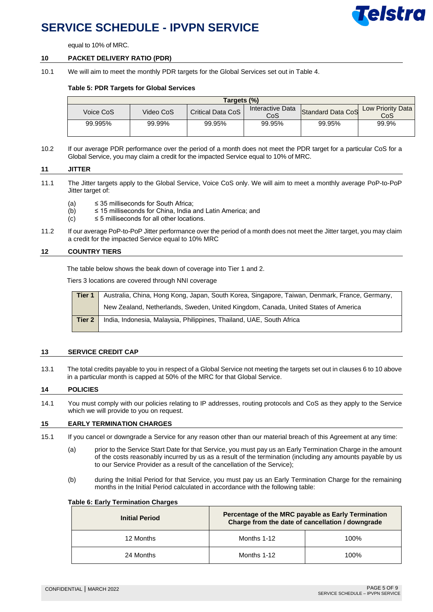

equal to 10% of MRC.

#### **10 PACKET DELIVERY RATIO (PDR)**

10.1 We will aim to meet the monthly PDR targets for the Global Services set out in Table 4.

#### **Table 5: PDR Targets for Global Services**

| Targets (%) |           |                   |                         |                   |                          |
|-------------|-----------|-------------------|-------------------------|-------------------|--------------------------|
| Voice CoS   | Video CoS | Critical Data CoS | Interactive Data<br>CoS | Standard Data CoS | Low Priority Data<br>CoS |
| 99.995%     | 99.99%    | 99.95%            | 99.95%                  | 99.95%            | 99.9%                    |

10.2 If our average PDR performance over the period of a month does not meet the PDR target for a particular CoS for a Global Service, you may claim a credit for the impacted Service equal to 10% of MRC.

#### **11 JITTER**

- 11.1 The Jitter targets apply to the Global Service, Voice CoS only. We will aim to meet a monthly average PoP-to-PoP Jitter target of:
	- (a)  $\leq$  35 milliseconds for South Africa;
	- $(b)$   $\leq$  15 milliseconds for China, India and Latin America; and
	- $(c) \leq 5$  milliseconds for all other locations.
- 11.2 If our average PoP-to-PoP Jitter performance over the period of a month does not meet the Jitter target, you may claim a credit for the impacted Service equal to 10% MRC

#### **12 COUNTRY TIERS**

The table below shows the beak down of coverage into Tier 1 and 2.

Tiers 3 locations are covered through NNI coverage

| Tier 1 | Australia, China, Hong Kong, Japan, South Korea, Singapore, Taiwan, Denmark, France, Germany, |
|--------|-----------------------------------------------------------------------------------------------|
|        | New Zealand, Netherlands, Sweden, United Kingdom, Canada, United States of America            |
| Tier 2 | India, Indonesia, Malaysia, Philippines, Thailand, UAE, South Africa                          |

#### **13 SERVICE CREDIT CAP**

13.1 The total credits payable to you in respect of a Global Service not meeting the targets set out in clauses 6 to 10 above in a particular month is capped at 50% of the MRC for that Global Service.

#### **14 POLICIES**

14.1 You must comply with our policies relating to IP addresses, routing protocols and CoS as they apply to the Service which we will provide to you on request.

#### **15 EARLY TERMINATION CHARGES**

- 15.1 If you cancel or downgrade a Service for any reason other than our material breach of this Agreement at any time:
	- (a) prior to the Service Start Date for that Service, you must pay us an Early Termination Charge in the amount of the costs reasonably incurred by us as a result of the termination (including any amounts payable by us to our Service Provider as a result of the cancellation of the Service);
	- (b) during the Initial Period for that Service, you must pay us an Early Termination Charge for the remaining months in the Initial Period calculated in accordance with the following table:

#### **Table 6: Early Termination Charges**

| <b>Initial Period</b> | Percentage of the MRC payable as Early Termination<br>Charge from the date of cancellation / downgrade |      |  |  |
|-----------------------|--------------------------------------------------------------------------------------------------------|------|--|--|
| 12 Months             | Months 1-12                                                                                            | 100% |  |  |
| 24 Months             | Months 1-12                                                                                            | 100% |  |  |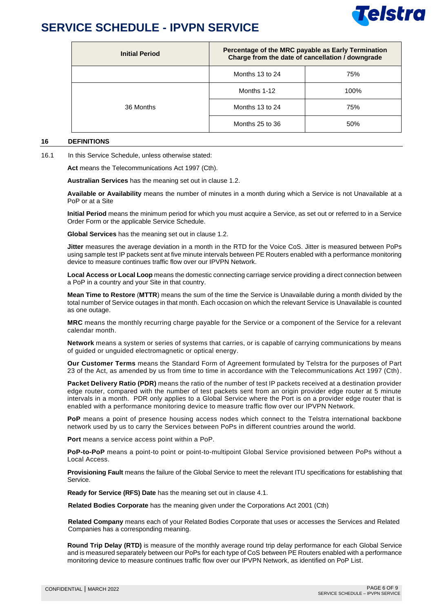

| <b>Initial Period</b> | Percentage of the MRC payable as Early Termination<br>Charge from the date of cancellation / downgrade |      |
|-----------------------|--------------------------------------------------------------------------------------------------------|------|
|                       | Months 13 to 24                                                                                        | 75%  |
| 36 Months             | Months 1-12                                                                                            | 100% |
|                       | Months 13 to 24                                                                                        | 75%  |
|                       | Months 25 to 36                                                                                        | 50%  |

#### **16 DEFINITIONS**

16.1 In this Service Schedule, unless otherwise stated:

**Act** means the Telecommunications Act 1997 (Cth).

**Australian Services** has the meaning set out in clause 1.2.

**Available or Availability** means the number of minutes in a month during which a Service is not Unavailable at a PoP or at a Site

**Initial Period** means the minimum period for which you must acquire a Service, as set out or referred to in a Service Order Form or the applicable Service Schedule.

**Global Services** has the meaning set out in clause 1.2.

**Jitter** measures the average deviation in a month in the RTD for the Voice CoS. Jitter is measured between PoPs using sample test IP packets sent at five minute intervals between PE Routers enabled with a performance monitoring device to measure continues traffic flow over our IPVPN Network.

**Local Access or Local Loop** means the domestic connecting carriage service providing a direct connection between a PoP in a country and your Site in that country.

**Mean Time to Restore** (**MTTR**) means the sum of the time the Service is Unavailable during a month divided by the total number of Service outages in that month. Each occasion on which the relevant Service is Unavailable is counted as one outage.

**MRC** means the monthly recurring charge payable for the Service or a component of the Service for a relevant calendar month.

**Network** means a system or series of systems that carries, or is capable of carrying communications by means of guided or unguided electromagnetic or optical energy.

**Our Customer Terms** means the Standard Form of Agreement formulated by Telstra for the purposes of Part 23 of the Act, as amended by us from time to time in accordance with the Telecommunications Act 1997 (Cth).

**Packet Delivery Ratio (PDR)** means the ratio of the number of test IP packets received at a destination provider edge router, compared with the number of test packets sent from an origin provider edge router at 5 minute intervals in a month. PDR only applies to a Global Service where the Port is on a provider edge router that is enabled with a performance monitoring device to measure traffic flow over our IPVPN Network.

**PoP** means a point of presence housing access nodes which connect to the Telstra international backbone network used by us to carry the Services between PoPs in different countries around the world.

**Port** means a service access point within a PoP.

**PoP-to-PoP** means a point-to point or point-to-multipoint Global Service provisioned between PoPs without a Local Access.

**Provisioning Fault** means the failure of the Global Service to meet the relevant ITU specifications for establishing that Service.

**Ready for Service (RFS) Date** has the meaning set out in clause 4.1.

**Related Bodies Corporate** has the meaning given under the Corporations Act 2001 (Cth)

**Related Company** means each of your Related Bodies Corporate that uses or accesses the Services and Related Companies has a corresponding meaning.

**Round Trip Delay (RTD)** is measure of the monthly average round trip delay performance for each Global Service and is measured separately between our PoPs for each type of CoS between PE Routers enabled with a performance monitoring device to measure continues traffic flow over our IPVPN Network, as identified on PoP List.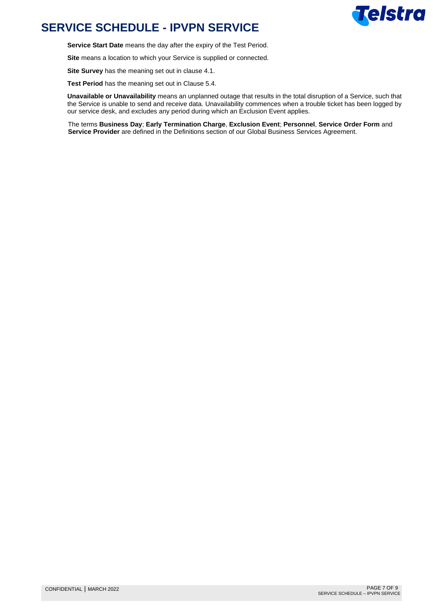

**Service Start Date** means the day after the expiry of the Test Period.

**Site** means a location to which your Service is supplied or connected.

**Site Survey** has the meaning set out in clause 4.1.

**Test Period** has the meaning set out in Clause 5.4.

**Unavailable or Unavailability** means an unplanned outage that results in the total disruption of a Service, such that the Service is unable to send and receive data. Unavailability commences when a trouble ticket has been logged by our service desk, and excludes any period during which an Exclusion Event applies.

The terms **Business Day**; **Early Termination Charge**, **Exclusion Event**; **Personnel**, **Service Order Form** and **Service Provider** are defined in the Definitions section of our Global Business Services Agreement.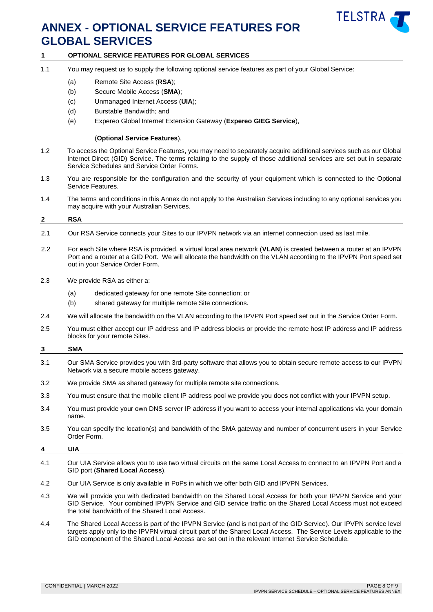

### **ANNEX - OPTIONAL SERVICE FEATURES FOR GLOBAL SERVICES**

#### **1 OPTIONAL SERVICE FEATURES FOR GLOBAL SERVICES**

- 1.1 You may request us to supply the following optional service features as part of your Global Service:
	- (a) Remote Site Access (**RSA**);
	- (b) Secure Mobile Access (**SMA**);
	- (c) Unmanaged Internet Access (**UIA**);
	- (d) Burstable Bandwidth; and
	- (e) Expereo Global Internet Extension Gateway (**Expereo GIEG Service**),

#### (**Optional Service Features**).

- 1.2 To access the Optional Service Features, you may need to separately acquire additional services such as our Global Internet Direct (GID) Service. The terms relating to the supply of those additional services are set out in separate Service Schedules and Service Order Forms.
- 1.3 You are responsible for the configuration and the security of your equipment which is connected to the Optional Service Features.
- 1.4 The terms and conditions in this Annex do not apply to the Australian Services including to any optional services you may acquire with your Australian Services.

# **2 RSA**

- 2.1 Our RSA Service connects your Sites to our IPVPN network via an internet connection used as last mile.
- 2.2 For each Site where RSA is provided, a virtual local area network (**VLAN**) is created between a router at an IPVPN Port and a router at a GID Port. We will allocate the bandwidth on the VLAN according to the IPVPN Port speed set out in your Service Order Form.
- 2.3 We provide RSA as either a:
	- (a) dedicated gateway for one remote Site connection; or
	- (b) shared gateway for multiple remote Site connections.
- 2.4 We will allocate the bandwidth on the VLAN according to the IPVPN Port speed set out in the Service Order Form.
- 2.5 You must either accept our IP address and IP address blocks or provide the remote host IP address and IP address blocks for your remote Sites.

#### **3 SMA**

- 3.1 Our SMA Service provides you with 3rd-party software that allows you to obtain secure remote access to our IPVPN Network via a secure mobile access gateway.
- 3.2 We provide SMA as shared gateway for multiple remote site connections.
- 3.3 You must ensure that the mobile client IP address pool we provide you does not conflict with your IPVPN setup.
- 3.4 You must provide your own DNS server IP address if you want to access your internal applications via your domain name.
- 3.5 You can specify the location(s) and bandwidth of the SMA gateway and number of concurrent users in your Service Order Form.

### **4 UIA**

- 4.1 Our UIA Service allows you to use two virtual circuits on the same Local Access to connect to an IPVPN Port and a GID port (**Shared Local Access**).
- 4.2 Our UIA Service is only available in PoPs in which we offer both GID and IPVPN Services.
- 4.3 We will provide you with dedicated bandwidth on the Shared Local Access for both your IPVPN Service and your GID Service. Your combined IPVPN Service and GID service traffic on the Shared Local Access must not exceed the total bandwidth of the Shared Local Access.
- 4.4 The Shared Local Access is part of the IPVPN Service (and is not part of the GID Service). Our IPVPN service level targets apply only to the IPVPN virtual circuit part of the Shared Local Access. The Service Levels applicable to the GID component of the Shared Local Access are set out in the relevant Internet Service Schedule.